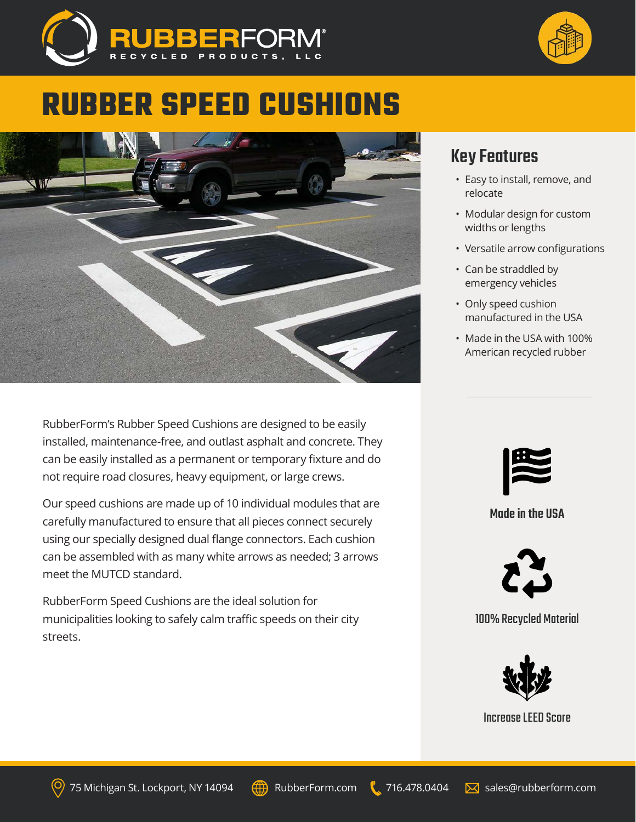



# **RUBBER SPEED CUSHIONS**



RubberForm's Rubber Speed Cushions are designed to be easily installed, maintenance-free, and outlast asphalt and concrete. They can be easily installed as a permanent or temporary fixture and do not require road closures, heavy equipment, or large crews.

Our speed cushions are made up of 10 individual modules that are carefully manufactured to ensure that all pieces connect securely using our specially designed dual flange connectors. Each cushion can be assembled with as many white arrows as needed; 3 arrows meet the MUTCD standard.

RubberForm Speed Cushions are the ideal solution for municipalities looking to safely calm traffic speeds on their city streets.

## Key Features

- Easy to install, remove, and relocate
- Modular design for custom widths or lengths
- Versatile arrow configurations
- Can be straddled by emergency vehicles
- Only speed cushion manufactured in the USA
- Made in the USA with 100% American recycled rubber



#### Made in the USA



#### 100% Recycled Material



#### Increase LEED Score